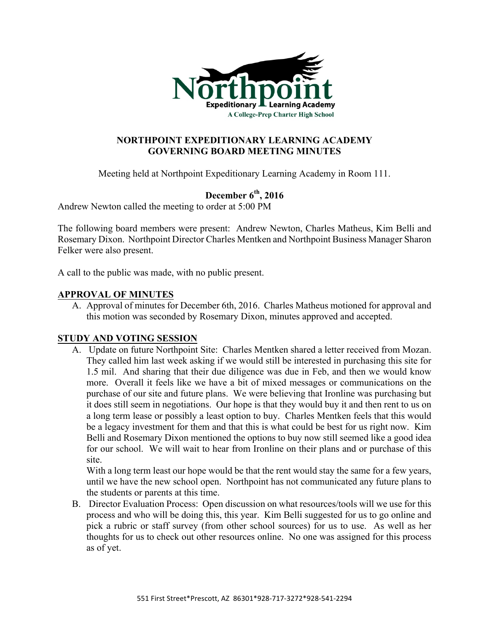

# **NORTHPOINT EXPEDITIONARY LEARNING ACADEMY GOVERNING BOARD MEETING MINUTES**

Meeting held at Northpoint Expeditionary Learning Academy in Room 111.

# **December 6th, 2016**

Andrew Newton called the meeting to order at 5:00 PM

The following board members were present: Andrew Newton, Charles Matheus, Kim Belli and Rosemary Dixon. Northpoint Director Charles Mentken and Northpoint Business Manager Sharon Felker were also present.

A call to the public was made, with no public present.

# **APPROVAL OF MINUTES**

A. Approval of minutes for December 6th, 2016. Charles Matheus motioned for approval and this motion was seconded by Rosemary Dixon, minutes approved and accepted.

# **STUDY AND VOTING SESSION**

A. Update on future Northpoint Site: Charles Mentken shared a letter received from Mozan. They called him last week asking if we would still be interested in purchasing this site for 1.5 mil. And sharing that their due diligence was due in Feb, and then we would know more. Overall it feels like we have a bit of mixed messages or communications on the purchase of our site and future plans. We were believing that Ironline was purchasing but it does still seem in negotiations. Our hope is that they would buy it and then rent to us on a long term lease or possibly a least option to buy. Charles Mentken feels that this would be a legacy investment for them and that this is what could be best for us right now. Kim Belli and Rosemary Dixon mentioned the options to buy now still seemed like a good idea for our school. We will wait to hear from Ironline on their plans and or purchase of this site.

With a long term least our hope would be that the rent would stay the same for a few years, until we have the new school open. Northpoint has not communicated any future plans to the students or parents at this time.

B. Director Evaluation Process: Open discussion on what resources/tools will we use for this process and who will be doing this, this year. Kim Belli suggested for us to go online and pick a rubric or staff survey (from other school sources) for us to use. As well as her thoughts for us to check out other resources online. No one was assigned for this process as of yet.